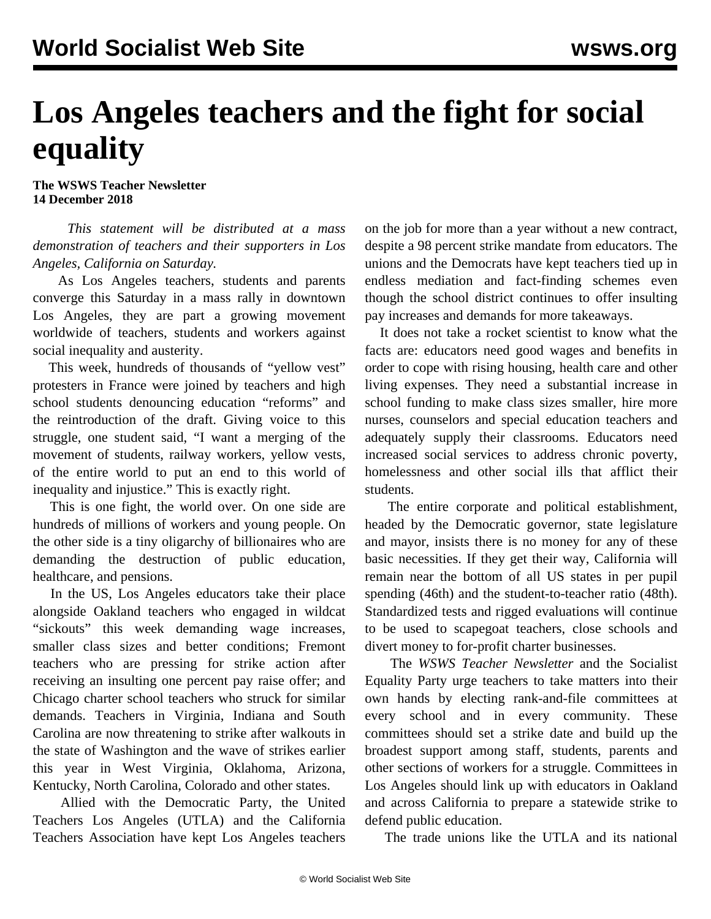## **Los Angeles teachers and the fight for social equality**

**The WSWS Teacher Newsletter 14 December 2018**

 *This statement will be distributed at a mass demonstration of teachers and their supporters in Los Angeles, California on Saturday.*

 As Los Angeles teachers, students and parents converge this Saturday in a mass rally in downtown Los Angeles, they are part a growing movement worldwide of teachers, students and workers against social inequality and austerity.

 This week, hundreds of thousands of "yellow vest" protesters in France were joined by teachers and high school students denouncing education "reforms" and the reintroduction of the draft. Giving voice to this struggle, one student said, "I want a merging of the movement of students, railway workers, yellow vests, of the entire world to put an end to this world of inequality and injustice." This is exactly right.

 This is one fight, the world over. On one side are hundreds of millions of workers and young people. On the other side is a tiny oligarchy of billionaires who are demanding the destruction of public education, healthcare, and pensions.

 In the US, Los Angeles educators take their place alongside Oakland teachers who engaged in wildcat "sickouts" this week demanding wage increases, smaller class sizes and better conditions; Fremont teachers who are pressing for strike action after receiving an insulting one percent pay raise offer; and Chicago charter school teachers who struck for similar demands. Teachers in Virginia, Indiana and South Carolina are now threatening to strike after walkouts in the state of Washington and the wave of strikes earlier this year in West Virginia, Oklahoma, Arizona, Kentucky, North Carolina, Colorado and other states.

 Allied with the Democratic Party, the United Teachers Los Angeles (UTLA) and the California Teachers Association have kept Los Angeles teachers

on the job for more than a year without a new contract, despite a 98 percent strike mandate from educators. The unions and the Democrats have kept teachers tied up in endless mediation and fact-finding schemes even though the school district continues to offer insulting pay increases and demands for more takeaways.

 It does not take a rocket scientist to know what the facts are: educators need good wages and benefits in order to cope with rising housing, health care and other living expenses. They need a substantial increase in school funding to make class sizes smaller, hire more nurses, counselors and special education teachers and adequately supply their classrooms. Educators need increased social services to address chronic poverty, homelessness and other social ills that afflict their students.

 The entire corporate and political establishment, headed by the Democratic governor, state legislature and mayor, insists there is no money for any of these basic necessities. If they get their way, California will remain near the bottom of all US states in per pupil spending (46th) and the student-to-teacher ratio (48th). Standardized tests and rigged evaluations will continue to be used to scapegoat teachers, close schools and divert money to for-profit charter businesses.

 The *WSWS Teacher Newsletter* and the Socialist Equality Party urge teachers to take matters into their own hands by electing rank-and-file committees at every school and in every community. These committees should set a strike date and build up the broadest support among staff, students, parents and other sections of workers for a struggle. Committees in Los Angeles should link up with educators in Oakland and across California to prepare a statewide strike to defend public education.

The trade unions like the UTLA and its national